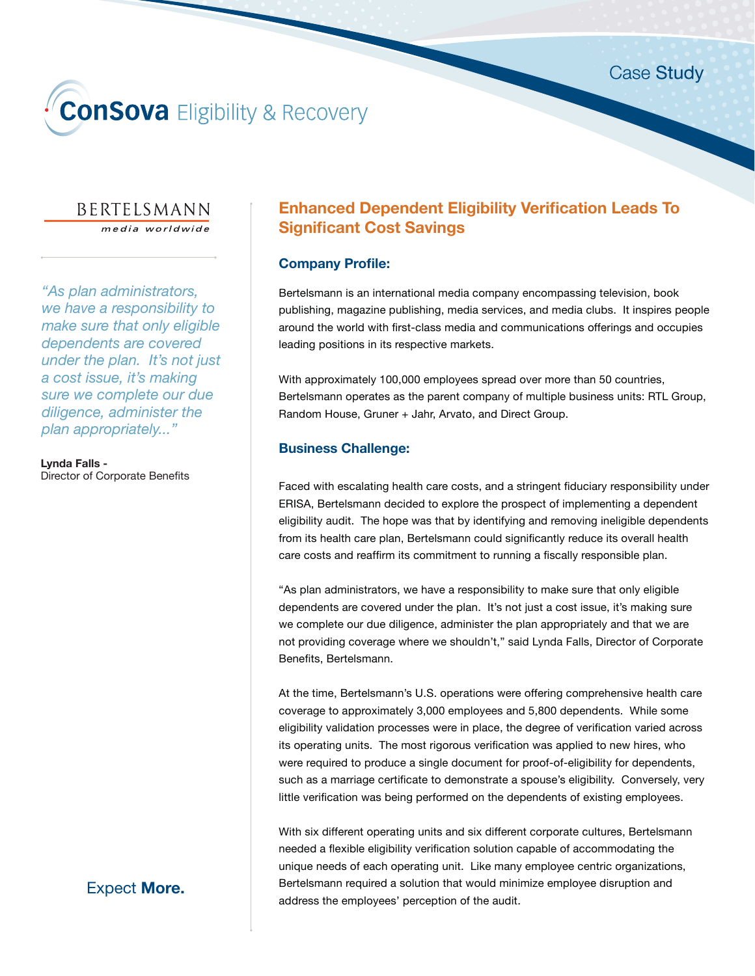# **ConSova** Eligibility & Recovery

# BERTELSMANN

media worldwide

*"As plan administrators, we have a responsibility to make sure that only eligible dependents are covered under the plan. It's not just a cost issue, it's making sure we complete our due diligence, administer the plan appropriately..."* 

**Lynda Falls -**  Director of Corporate Benefits

# **Enhanced Dependent Eligibility Verification Leads To Significant Cost Savings**

## **Company Profile:**

Bertelsmann is an international media company encompassing television, book publishing, magazine publishing, media services, and media clubs. It inspires people around the world with first-class media and communications offerings and occupies leading positions in its respective markets.

With approximately 100,000 employees spread over more than 50 countries, Bertelsmann operates as the parent company of multiple business units: RTL Group, Random House, Gruner + Jahr, Arvato, and Direct Group.

## **Business Challenge:**

Faced with escalating health care costs, and a stringent fiduciary responsibility under ERISA, Bertelsmann decided to explore the prospect of implementing a dependent eligibility audit. The hope was that by identifying and removing ineligible dependents from its health care plan, Bertelsmann could significantly reduce its overall health care costs and reaffirm its commitment to running a fiscally responsible plan.

"As plan administrators, we have a responsibility to make sure that only eligible dependents are covered under the plan. It's not just a cost issue, it's making sure we complete our due diligence, administer the plan appropriately and that we are not providing coverage where we shouldn't," said Lynda Falls, Director of Corporate Benefits, Bertelsmann.

At the time, Bertelsmann's U.S. operations were offering comprehensive health care coverage to approximately 3,000 employees and 5,800 dependents. While some eligibility validation processes were in place, the degree of verification varied across its operating units. The most rigorous verification was applied to new hires, who were required to produce a single document for proof-of-eligibility for dependents, such as a marriage certificate to demonstrate a spouse's eligibility. Conversely, very little verification was being performed on the dependents of existing employees.

With six different operating units and six different corporate cultures, Bertelsmann needed a flexible eligibility verification solution capable of accommodating the unique needs of each operating unit. Like many employee centric organizations, Bertelsmann required a solution that would minimize employee disruption and address the employees' perception of the audit.

## Expect **More.**